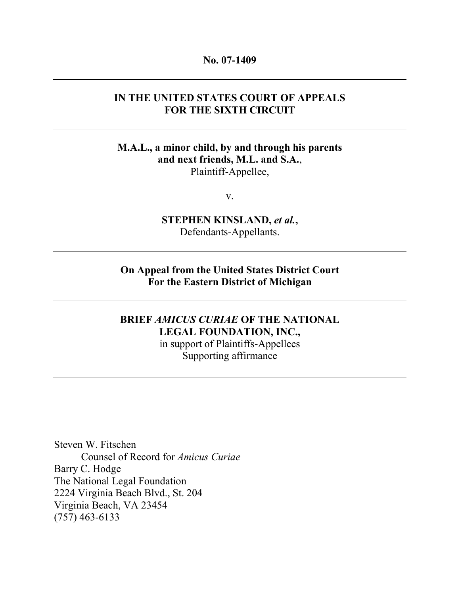#### No. 07-1409

### IN THE UNITED STATES COURT OF APPEALS FOR THE SIXTH CIRCUIT

### M.A.L., a minor child, by and through his parents and next friends, M.L. and S.A., Plaintiff-Appellee,

v.

STEPHEN KINSLAND, et al., Defendants-Appellants.

On Appeal from the United States District Court For the Eastern District of Michigan

# BRIEF AMICUS CURIAE OF THE NATIONAL LEGAL FOUNDATION, INC.,

in support of Plaintiffs-Appellees Supporting affirmance

Steven W. Fitschen Counsel of Record for Amicus Curiae Barry C. Hodge The National Legal Foundation 2224 Virginia Beach Blvd., St. 204 Virginia Beach, VA 23454 (757) 463-6133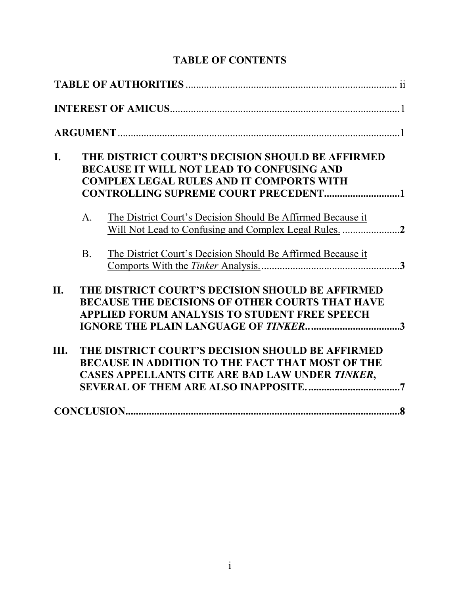# TABLE OF CONTENTS

| I.         |            | THE DISTRICT COURT'S DECISION SHOULD BE AFFIRMED<br><b>BECAUSE IT WILL NOT LEAD TO CONFUSING AND</b><br><b>COMPLEX LEGAL RULES AND IT COMPORTS WITH</b>        |
|------------|------------|----------------------------------------------------------------------------------------------------------------------------------------------------------------|
|            | $A_{1}$    | The District Court's Decision Should Be Affirmed Because it                                                                                                    |
|            | <b>B</b> . | The District Court's Decision Should Be Affirmed Because it                                                                                                    |
| <b>II.</b> |            | THE DISTRICT COURT'S DECISION SHOULD BE AFFIRMED<br><b>BECAUSE THE DECISIONS OF OTHER COURTS THAT HAVE</b><br>APPLIED FORUM ANALYSIS TO STUDENT FREE SPEECH    |
| Ш.         |            | THE DISTRICT COURT'S DECISION SHOULD BE AFFIRMED<br><b>BECAUSE IN ADDITION TO THE FACT THAT MOST OF THE</b><br>CASES APPELLANTS CITE ARE BAD LAW UNDER TINKER, |
|            |            |                                                                                                                                                                |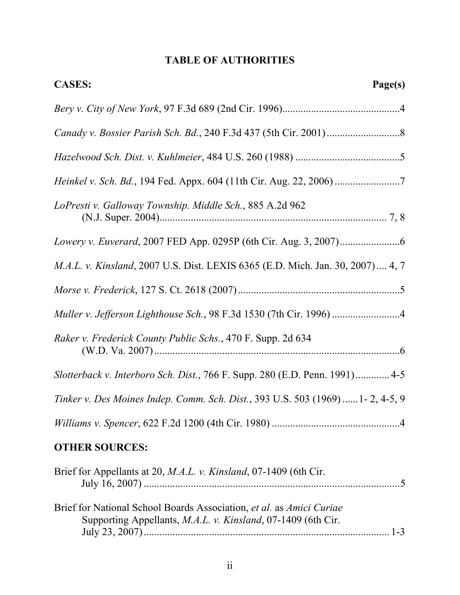# TABLE OF AUTHORITIES

| <b>CASES:</b><br>Page(s)                                                                                                             |  |  |
|--------------------------------------------------------------------------------------------------------------------------------------|--|--|
|                                                                                                                                      |  |  |
|                                                                                                                                      |  |  |
|                                                                                                                                      |  |  |
|                                                                                                                                      |  |  |
| LoPresti v. Galloway Township. Middle Sch., 885 A.2d 962                                                                             |  |  |
|                                                                                                                                      |  |  |
| M.A.L. v. Kinsland, 2007 U.S. Dist. LEXIS 6365 (E.D. Mich. Jan. 30, 2007) 4, 7                                                       |  |  |
|                                                                                                                                      |  |  |
| Muller v. Jefferson Lighthouse Sch., 98 F.3d 1530 (7th Cir. 1996) 4                                                                  |  |  |
| Raker v. Frederick County Public Schs., 470 F. Supp. 2d 634                                                                          |  |  |
| Slotterback v. Interboro Sch. Dist., 766 F. Supp. 280 (E.D. Penn. 1991) 4-5                                                          |  |  |
| Tinker v. Des Moines Indep. Comm. Sch. Dist., 393 U.S. 503 (1969)  1- 2, 4-5, 9                                                      |  |  |
|                                                                                                                                      |  |  |
| <b>OTHER SOURCES:</b>                                                                                                                |  |  |
| Brief for Appellants at 20, <i>M.A.L. v. Kinsland</i> , 07-1409 (6th Cir.                                                            |  |  |
| Brief for National School Boards Association, et al. as Amici Curiae<br>Supporting Appellants, M.A.L. v. Kinsland, 07-1409 (6th Cir. |  |  |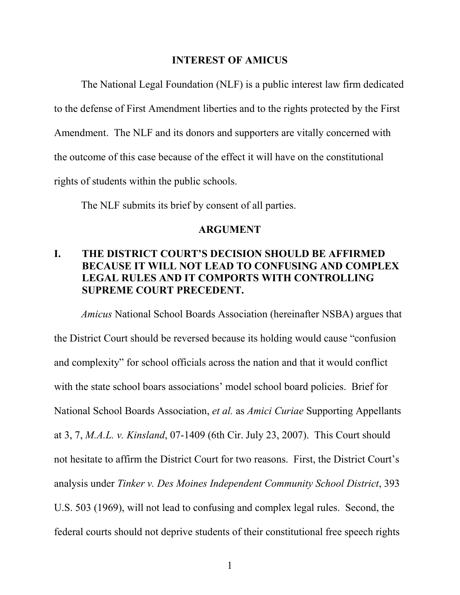#### INTEREST OF AMICUS

The National Legal Foundation (NLF) is a public interest law firm dedicated to the defense of First Amendment liberties and to the rights protected by the First Amendment. The NLF and its donors and supporters are vitally concerned with the outcome of this case because of the effect it will have on the constitutional rights of students within the public schools.

The NLF submits its brief by consent of all parties.

#### ARGUMENT

# I. THE DISTRICT COURT'S DECISION SHOULD BE AFFIRMED BECAUSE IT WILL NOT LEAD TO CONFUSING AND COMPLEX LEGAL RULES AND IT COMPORTS WITH CONTROLLING SUPREME COURT PRECEDENT.

Amicus National School Boards Association (hereinafter NSBA) argues that the District Court should be reversed because its holding would cause "confusion and complexity" for school officials across the nation and that it would conflict with the state school boars associations' model school board policies. Brief for National School Boards Association, et al. as Amici Curiae Supporting Appellants at 3, 7, M.A.L. v. Kinsland, 07-1409 (6th Cir. July 23, 2007). This Court should not hesitate to affirm the District Court for two reasons. First, the District Court's analysis under Tinker v. Des Moines Independent Community School District, 393 U.S. 503 (1969), will not lead to confusing and complex legal rules. Second, the federal courts should not deprive students of their constitutional free speech rights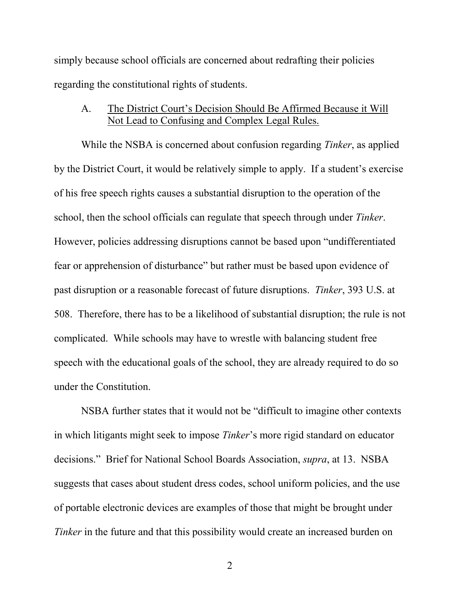simply because school officials are concerned about redrafting their policies regarding the constitutional rights of students.

### A. The District Court's Decision Should Be Affirmed Because it Will Not Lead to Confusing and Complex Legal Rules.

While the NSBA is concerned about confusion regarding *Tinker*, as applied by the District Court, it would be relatively simple to apply. If a student's exercise of his free speech rights causes a substantial disruption to the operation of the school, then the school officials can regulate that speech through under Tinker. However, policies addressing disruptions cannot be based upon "undifferentiated fear or apprehension of disturbance" but rather must be based upon evidence of past disruption or a reasonable forecast of future disruptions. Tinker, 393 U.S. at 508. Therefore, there has to be a likelihood of substantial disruption; the rule is not complicated. While schools may have to wrestle with balancing student free speech with the educational goals of the school, they are already required to do so under the Constitution.

NSBA further states that it would not be "difficult to imagine other contexts in which litigants might seek to impose Tinker's more rigid standard on educator decisions." Brief for National School Boards Association, supra, at 13. NSBA suggests that cases about student dress codes, school uniform policies, and the use of portable electronic devices are examples of those that might be brought under Tinker in the future and that this possibility would create an increased burden on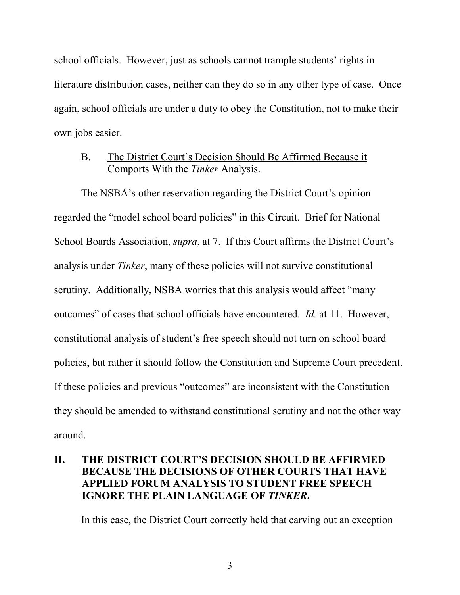school officials. However, just as schools cannot trample students' rights in literature distribution cases, neither can they do so in any other type of case. Once again, school officials are under a duty to obey the Constitution, not to make their own jobs easier.

### B. The District Court's Decision Should Be Affirmed Because it Comports With the Tinker Analysis.

The NSBA's other reservation regarding the District Court's opinion regarded the "model school board policies" in this Circuit. Brief for National School Boards Association, supra, at 7. If this Court affirms the District Court's analysis under Tinker, many of these policies will not survive constitutional scrutiny. Additionally, NSBA worries that this analysis would affect "many outcomes" of cases that school officials have encountered. Id. at 11. However, constitutional analysis of student's free speech should not turn on school board policies, but rather it should follow the Constitution and Supreme Court precedent. If these policies and previous "outcomes" are inconsistent with the Constitution they should be amended to withstand constitutional scrutiny and not the other way around.

# II. THE DISTRICT COURT'S DECISION SHOULD BE AFFIRMED BECAUSE THE DECISIONS OF OTHER COURTS THAT HAVE APPLIED FORUM ANALYSIS TO STUDENT FREE SPEECH IGNORE THE PLAIN LANGUAGE OF TINKER.

In this case, the District Court correctly held that carving out an exception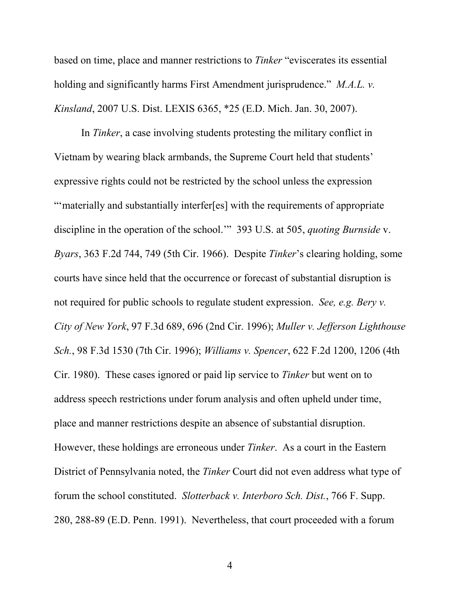based on time, place and manner restrictions to Tinker "eviscerates its essential holding and significantly harms First Amendment jurisprudence." *M.A.L. v.* Kinsland, 2007 U.S. Dist. LEXIS 6365, \*25 (E.D. Mich. Jan. 30, 2007).

In Tinker, a case involving students protesting the military conflict in Vietnam by wearing black armbands, the Supreme Court held that students' expressive rights could not be restricted by the school unless the expression "'materially and substantially interfer[es] with the requirements of appropriate discipline in the operation of the school.'" 393 U.S. at 505, quoting Burnside v. Byars, 363 F.2d 744, 749 (5th Cir. 1966). Despite Tinker's clearing holding, some courts have since held that the occurrence or forecast of substantial disruption is not required for public schools to regulate student expression. See, e.g. Bery v. City of New York, 97 F.3d 689, 696 (2nd Cir. 1996); Muller v. Jefferson Lighthouse Sch., 98 F.3d 1530 (7th Cir. 1996); Williams v. Spencer, 622 F.2d 1200, 1206 (4th Cir. 1980). These cases ignored or paid lip service to Tinker but went on to address speech restrictions under forum analysis and often upheld under time, place and manner restrictions despite an absence of substantial disruption. However, these holdings are erroneous under Tinker. As a court in the Eastern District of Pennsylvania noted, the Tinker Court did not even address what type of forum the school constituted. Slotterback v. Interboro Sch. Dist., 766 F. Supp. 280, 288-89 (E.D. Penn. 1991). Nevertheless, that court proceeded with a forum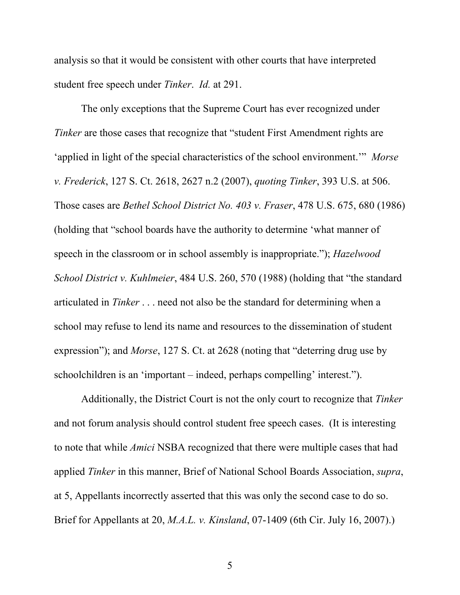analysis so that it would be consistent with other courts that have interpreted student free speech under Tinker. Id. at 291.

The only exceptions that the Supreme Court has ever recognized under Tinker are those cases that recognize that "student First Amendment rights are 'applied in light of the special characteristics of the school environment.'" Morse v. Frederick, 127 S. Ct. 2618, 2627 n.2 (2007), quoting Tinker, 393 U.S. at 506. Those cases are Bethel School District No. 403 v. Fraser, 478 U.S. 675, 680 (1986) (holding that "school boards have the authority to determine 'what manner of speech in the classroom or in school assembly is inappropriate."); *Hazelwood* School District v. Kuhlmeier, 484 U.S. 260, 570 (1988) (holding that "the standard articulated in Tinker . . . need not also be the standard for determining when a school may refuse to lend its name and resources to the dissemination of student expression"); and Morse, 127 S. Ct. at 2628 (noting that "deterring drug use by schoolchildren is an 'important – indeed, perhaps compelling' interest.").

Additionally, the District Court is not the only court to recognize that Tinker and not forum analysis should control student free speech cases. (It is interesting to note that while Amici NSBA recognized that there were multiple cases that had applied Tinker in this manner, Brief of National School Boards Association, supra, at 5, Appellants incorrectly asserted that this was only the second case to do so. Brief for Appellants at 20, *M.A.L. v. Kinsland*, 07-1409 (6th Cir. July 16, 2007).)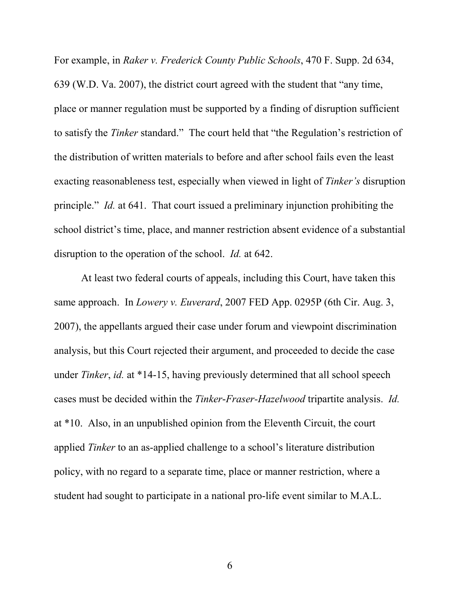For example, in Raker v. Frederick County Public Schools, 470 F. Supp. 2d 634, 639 (W.D. Va. 2007), the district court agreed with the student that "any time, place or manner regulation must be supported by a finding of disruption sufficient to satisfy the Tinker standard." The court held that "the Regulation's restriction of the distribution of written materials to before and after school fails even the least exacting reasonableness test, especially when viewed in light of Tinker's disruption principle." Id. at 641. That court issued a preliminary injunction prohibiting the school district's time, place, and manner restriction absent evidence of a substantial disruption to the operation of the school. *Id.* at 642.

At least two federal courts of appeals, including this Court, have taken this same approach. In *Lowery v. Euverard*, 2007 FED App. 0295P (6th Cir. Aug. 3, 2007), the appellants argued their case under forum and viewpoint discrimination analysis, but this Court rejected their argument, and proceeded to decide the case under Tinker, id. at \*14-15, having previously determined that all school speech cases must be decided within the Tinker-Fraser-Hazelwood tripartite analysis. Id. at \*10. Also, in an unpublished opinion from the Eleventh Circuit, the court applied Tinker to an as-applied challenge to a school's literature distribution policy, with no regard to a separate time, place or manner restriction, where a student had sought to participate in a national pro-life event similar to M.A.L.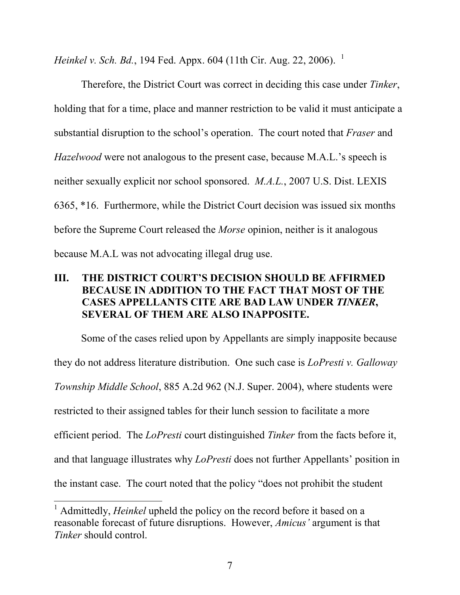Heinkel v. Sch. Bd., 194 Fed. Appx. 604 (11th Cir. Aug. 22, 2006).<sup>1</sup>

Therefore, the District Court was correct in deciding this case under Tinker, holding that for a time, place and manner restriction to be valid it must anticipate a substantial disruption to the school's operation. The court noted that *Fraser* and Hazelwood were not analogous to the present case, because M.A.L.'s speech is neither sexually explicit nor school sponsored. M.A.L., 2007 U.S. Dist. LEXIS 6365, \*16. Furthermore, while the District Court decision was issued six months before the Supreme Court released the Morse opinion, neither is it analogous because M.A.L was not advocating illegal drug use.

# III. THE DISTRICT COURT'S DECISION SHOULD BE AFFIRMED BECAUSE IN ADDITION TO THE FACT THAT MOST OF THE CASES APPELLANTS CITE ARE BAD LAW UNDER TINKER, SEVERAL OF THEM ARE ALSO INAPPOSITE.

Some of the cases relied upon by Appellants are simply inapposite because they do not address literature distribution. One such case is *LoPresti v. Galloway* Township Middle School, 885 A.2d 962 (N.J. Super. 2004), where students were restricted to their assigned tables for their lunch session to facilitate a more efficient period. The LoPresti court distinguished Tinker from the facts before it, and that language illustrates why LoPresti does not further Appellants' position in the instant case. The court noted that the policy "does not prohibit the student

<sup>&</sup>lt;sup>1</sup> Admittedly, *Heinkel* upheld the policy on the record before it based on a reasonable forecast of future disruptions. However, Amicus' argument is that Tinker should control.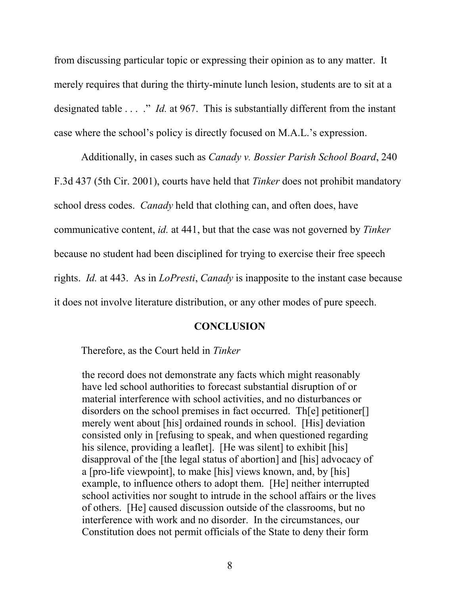from discussing particular topic or expressing their opinion as to any matter. It merely requires that during the thirty-minute lunch lesion, students are to sit at a designated table  $\ldots$  ." *Id.* at 967. This is substantially different from the instant case where the school's policy is directly focused on M.A.L.'s expression.

Additionally, in cases such as Canady v. Bossier Parish School Board, 240 F.3d 437 (5th Cir. 2001), courts have held that Tinker does not prohibit mandatory school dress codes. *Canady* held that clothing can, and often does, have communicative content, id. at 441, but that the case was not governed by Tinker because no student had been disciplined for trying to exercise their free speech rights. Id. at 443. As in LoPresti, Canady is inapposite to the instant case because it does not involve literature distribution, or any other modes of pure speech.

#### **CONCLUSION**

Therefore, as the Court held in Tinker

the record does not demonstrate any facts which might reasonably have led school authorities to forecast substantial disruption of or material interference with school activities, and no disturbances or disorders on the school premises in fact occurred. Th[e] petitioner[] merely went about [his] ordained rounds in school. [His] deviation consisted only in [refusing to speak, and when questioned regarding his silence, providing a leaflet. [He was silent] to exhibit [his] disapproval of the [the legal status of abortion] and [his] advocacy of a [pro-life viewpoint], to make [his] views known, and, by [his] example, to influence others to adopt them. [He] neither interrupted school activities nor sought to intrude in the school affairs or the lives of others. [He] caused discussion outside of the classrooms, but no interference with work and no disorder. In the circumstances, our Constitution does not permit officials of the State to deny their form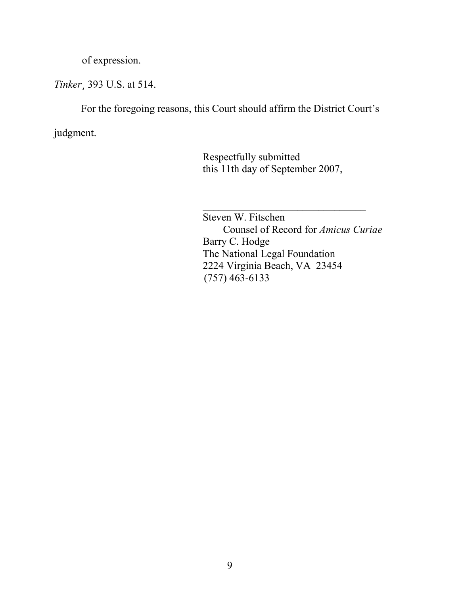of expression.

Tinker¸ 393 U.S. at 514.

For the foregoing reasons, this Court should affirm the District Court's

judgment.

 Respectfully submitted this 11th day of September 2007,

\_\_\_\_\_\_\_\_\_\_\_\_\_\_\_\_\_\_\_\_\_\_\_\_\_\_\_\_\_\_\_ Steven W. Fitschen Counsel of Record for Amicus Curiae Barry C. Hodge The National Legal Foundation 2224 Virginia Beach, VA 23454 (757) 463-6133